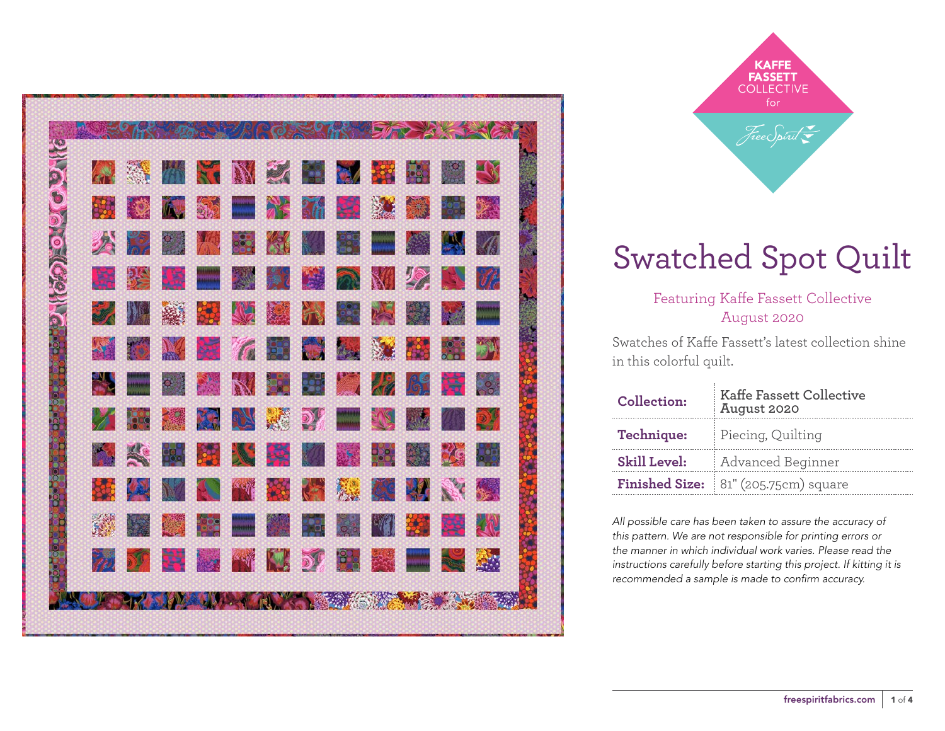

**KAFFE FASSETT COLLECTIVE** for Free Spirit

### Swatched Spot Quilt

Featuring Kaffe Fassett Collective August 2020

Swatches of Kaffe Fassett's latest collection shine in this colorful quilt.

| Collection:         | <b>Kaffe Fassett Collective</b><br>August 2020 |  |  |
|---------------------|------------------------------------------------|--|--|
| Technique:          | Piecing, Quilting                              |  |  |
| <b>Skill Level:</b> | Advanced Beginner                              |  |  |
|                     | Finished Size: 81" (205.75cm) square           |  |  |

*All possible care has been taken to assure the accuracy of this pattern. We are not responsible for printing errors or the manner in which individual work varies. Please read the instructions carefully before starting this project. If kitting it is recommended a sample is made to confirm accuracy.*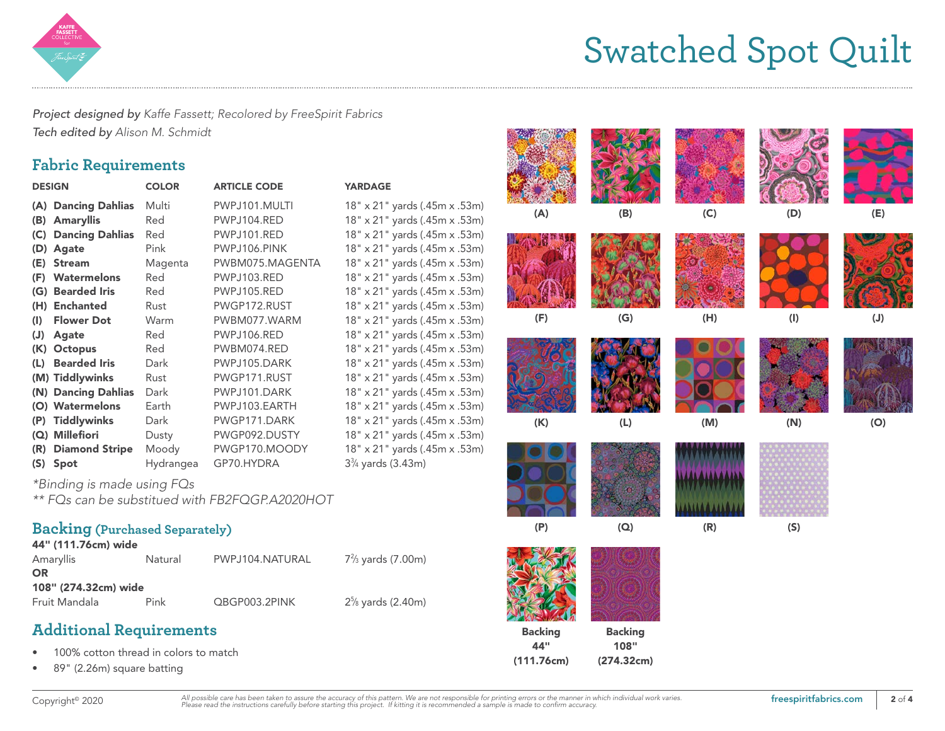

## Swatched Spot Quilt

*Project designed by Kaffe Fassett; Recolored by FreeSpirit Fabrics Tech edited by Alison M. Schmidt*

#### **Fabric Requirements**

| <b>DESIGN</b> |                        | <b>COLOR</b> | <b>ARTICLE CODE</b> | <b>YARDAGE</b>                |  |  |
|---------------|------------------------|--------------|---------------------|-------------------------------|--|--|
|               | (A) Dancing Dahlias    | Multi        | PWPJ101.MULTI       | 18" x 21" yards (.45m x .53m) |  |  |
| (B)           | <b>Amaryllis</b>       | Red          | PWPJ104.RED         | 18" x 21" yards (.45m x .53m) |  |  |
| (C)           | <b>Dancing Dahlias</b> | Red          | PWPJ101.RED         | 18" x 21" yards (.45m x .53m) |  |  |
| (D)           | Agate                  | Pink         | PWPJ106.PINK        | 18" x 21" yards (.45m x .53m) |  |  |
| (E)           | <b>Stream</b>          | Magenta      | PWBM075.MAGENTA     | 18" x 21" yards (.45m x .53m) |  |  |
|               | (F) Watermelons        | Red          | PWPJ103.RED         | 18" x 21" yards (.45m x .53m) |  |  |
|               | (G) Bearded Iris       | Red          | PWPJ105.RED         | 18" x 21" yards (.45m x .53m) |  |  |
| (H)           | <b>Enchanted</b>       | Rust         | PWGP172.RUST        | 18" x 21" yards (.45m x .53m) |  |  |
| (1)           | <b>Flower Dot</b>      | Warm         | PWBM077.WARM        | 18" x 21" yards (.45m x .53m) |  |  |
| (J)           | Agate                  | Red          | PWPJ106.RED         | 18" x 21" yards (.45m x .53m) |  |  |
|               | (K) Octopus            | Red          | PWBM074.RED         | 18" x 21" yards (.45m x .53m) |  |  |
| (L)           | <b>Bearded Iris</b>    | Dark         | PWPJ105.DARK        | 18" x 21" yards (.45m x .53m) |  |  |
|               | (M) Tiddlywinks        | Rust         | PWGP171.RUST        | 18" x 21" yards (.45m x .53m) |  |  |
|               | (N) Dancing Dahlias    | Dark         | PWPJ101.DARK        | 18" x 21" yards (.45m x .53m) |  |  |
|               | (O) Watermelons        | Earth        | PWPJ103.EARTH       | 18" x 21" yards (.45m x .53m) |  |  |
| (P)           | <b>Tiddlywinks</b>     | Dark         | PWGP171.DARK        | 18" x 21" yards (.45m x .53m) |  |  |
|               | (Q) Millefiori         | Dusty        | PWGP092.DUSTY       | 18" x 21" yards (.45m x .53m) |  |  |
|               | (R) Diamond Stripe     | Moody        | PWGP170.MOODY       | 18" x 21" yards (.45m x .53m) |  |  |
|               | $(S)$ Spot             | Hydrangea    | GP70.HYDRA          | $3\%$ yards (3.43m)           |  |  |
|               |                        |              |                     |                               |  |  |

*\*Binding is made using FQs*

*\*\* FQs can be substitued with FB2FQGP.A2020HOT*

#### **Backing (Purchased Separately)**  $441/4447$

| 44" (111./6cm) wide  |      |                 |                     |  |  |  |  |  |
|----------------------|------|-----------------|---------------------|--|--|--|--|--|
| Amaryllis<br>Natural |      | PWPJ104.NATURAL | $7\%$ yards (7.00m) |  |  |  |  |  |
| OR                   |      |                 |                     |  |  |  |  |  |
| 108" (274.32cm) wide |      |                 |                     |  |  |  |  |  |
| Fruit Mandala        | Pink | QBGP003.2PINK   | $2\%$ yards (2.40m) |  |  |  |  |  |

#### **Additional Requirements**

- 100% cotton thread in colors to match
- 89" (2.26m) square batting

| <b>DE</b>             | <b>YARDAGE</b>                                                 |                |                |     |     |     |
|-----------------------|----------------------------------------------------------------|----------------|----------------|-----|-----|-----|
| <b>NULTI</b>          | 18" x 21" yards (.45m x .53m)                                  | (A)            | (B)            | (C) | (D) | (E) |
| ED:                   | 18" x 21" yards (.45m x .53m)                                  |                |                |     |     |     |
| ED:                   | 18" x 21" yards (.45m x .53m)                                  |                |                |     |     |     |
| <b>INK</b>            | 18" x 21" yards (.45m x .53m)<br>18" x 21" yards (.45m x .53m) |                |                |     |     |     |
| <b>MAGENTA</b><br>ED: | 18" x 21" yards (.45m x .53m)                                  |                |                |     |     |     |
| ED <sup>1</sup>       | 18" x 21" yards (.45m x .53m)                                  |                |                |     |     |     |
| <b>RUST</b>           | 18" x 21" yards (.45m x .53m)                                  |                |                |     |     |     |
| <b>WARM</b>           | 18" x 21" yards (.45m x .53m)                                  | (F)            | (G)            | (H) | (1) | (J) |
| ED <sup>1</sup>       | 18" x 21" yards (.45m x .53m)                                  |                |                |     |     |     |
| <b>RED</b>            | 18" x 21" yards (.45m x .53m)                                  |                |                |     |     |     |
| <b>ARK</b>            | 18" x 21" yards (.45m x .53m)                                  |                |                |     |     |     |
| RUST                  | 18" x 21" yards (.45m x .53m)                                  |                |                |     |     |     |
| <b>ARK</b>            | 18" x 21" yards (.45m x .53m)                                  |                |                |     |     |     |
| <b>ARTH</b>           | 18" x 21" yards (.45m x .53m)                                  |                |                |     |     |     |
| DARK                  | 18" x 21" yards (.45m x .53m)                                  | (K)            | (L)            | (M) | (N) | (O) |
| <b>DUSTY</b>          | 18" x 21" yards (.45m x .53m)                                  |                |                |     |     |     |
| <b>MOODY</b>          | 18" x 21" yards (.45m x .53m)                                  |                |                |     |     |     |
| A۶                    | 3 <sup>3</sup> / <sub>4</sub> yards (3.43m)                    |                |                |     |     |     |
| <b>A2020HOT</b>       |                                                                |                |                |     |     |     |
|                       |                                                                | (P)            | (Q)            | (R) | (S) |     |
|                       |                                                                |                |                |     |     |     |
| <b>JATURAL</b>        | $7\frac{2}{3}$ yards (7.00m)                                   |                |                |     |     |     |
| <b>PINK</b>           | 2 <sup>5</sup> / <sub>8</sub> yards (2.40m)                    |                |                |     |     |     |
|                       |                                                                | <b>Backing</b> | <b>Backing</b> |     |     |     |
|                       |                                                                | 44"            | 108"           |     |     |     |
|                       |                                                                | (111.76cm)     | (274.32cm)     |     |     |     |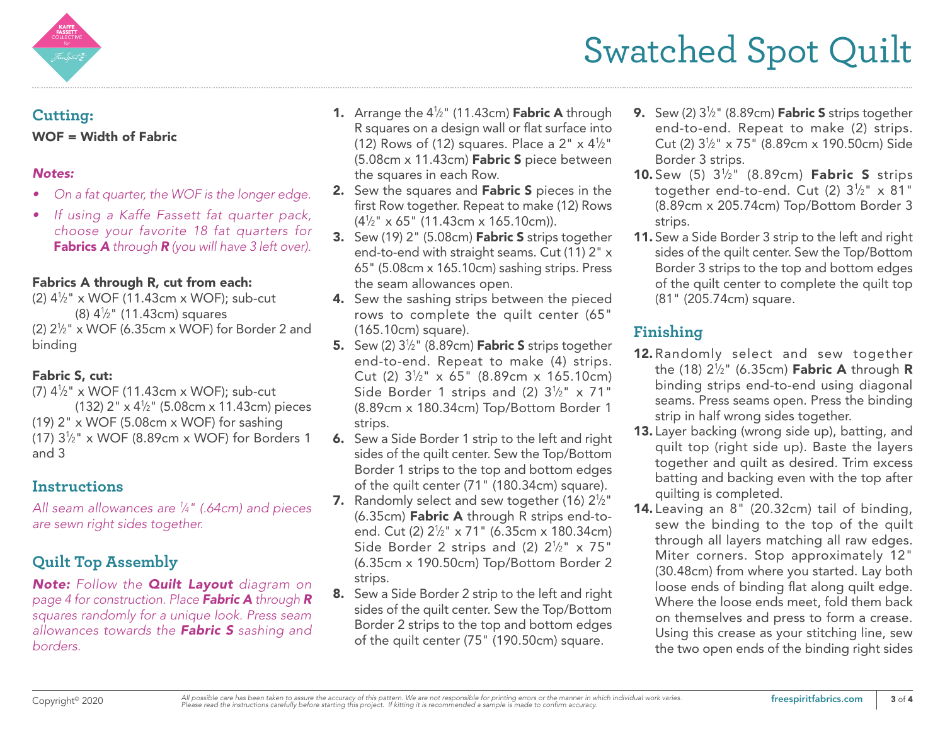

# Swatched Spot Quilt

#### **Cutting:** WOF = Width of Fabric

#### *Notes:*

- *• On a fat quarter, the WOF is the longer edge.*
- *• If using a Kaffe Fassett fat quarter pack, choose your favorite 18 fat quarters for*  Fabrics *A through R (you will have 3 left over).*

#### Fabrics A through R, cut from each:

(2) 41 ⁄2" x WOF (11.43cm x WOF); sub-cut (8) 41 ⁄2" (11.43cm) squares (2)  $2\frac{1}{2}$ " x WOF (6.35cm x WOF) for Border 2 and binding

#### Fabric S, cut:

(7) 41 ⁄2" x WOF (11.43cm x WOF); sub-cut (132) 2" x 41 ⁄2" (5.08cm x 11.43cm) pieces (19)  $2" \times WOF$  (5.08cm  $\times WOF$ ) for sashing (17)  $3\frac{1}{2}$ " x WOF (8.89cm x WOF) for Borders 1 and 3

### **Instructions**

*All seam allowances are 1 ⁄4" (.64cm) and pieces are sewn right sides together.* 

### **Quilt Top Assembly**

*Note: Follow the Quilt Layout diagram on page 4 for construction. Place Fabric A through R squares randomly for a unique look. Press seam allowances towards the Fabric S sashing and borders.*

- **1.** Arrange the  $4\frac{1}{2}$ " (11.43cm) **Fabric A** through R squares on a design wall or flat surface into (12) Rows of (12) squares. Place a 2"  $\times$  4 $\frac{1}{2}$ " (5.08cm x 11.43cm) Fabric S piece between the squares in each Row.
- 2. Sew the squares and Fabric S pieces in the first Row together. Repeat to make (12) Rows (41 ⁄2" x 65" (11.43cm x 165.10cm)).
- 3. Sew (19) 2" (5.08cm) Fabric S strips together end-to-end with straight seams. Cut (11) 2" x 65" (5.08cm x 165.10cm) sashing strips. Press the seam allowances open.
- 4. Sew the sashing strips between the pieced rows to complete the quilt center (65" (165.10cm) square).
- **5.** Sew (2) 3<sup>1</sup>/<sub>2</sub>" (8.89cm) **Fabric S** strips together end-to-end. Repeat to make (4) strips. Cut (2)  $3\frac{1}{2}$ " x 65" (8.89cm x 165.10cm) Side Border 1 strips and (2)  $3\frac{1}{2}$ " x 71" (8.89cm x 180.34cm) Top/Bottom Border 1 strips.
- 6. Sew a Side Border 1 strip to the left and right sides of the quilt center. Sew the Top/Bottom Border 1 strips to the top and bottom edges of the quilt center (71" (180.34cm) square).
- **7.** Randomly select and sew together (16)  $2\frac{1}{2}$ " (6.35cm) Fabric A through R strips end-toend. Cut (2) 21 ⁄2" x 71" (6.35cm x 180.34cm) Side Border 2 strips and (2)  $2\frac{1}{2}$ " x 75" (6.35cm x 190.50cm) Top/Bottom Border 2 strips.
- 8. Sew a Side Border 2 strip to the left and right sides of the quilt center. Sew the Top/Bottom Border 2 strips to the top and bottom edges of the quilt center (75" (190.50cm) square.
- **9.** Sew (2) 3½" (8.89cm) **Fabric S** strips together end-to-end. Repeat to make (2) strips. Cut (2) 31 ⁄2" x 75" (8.89cm x 190.50cm) Side Border 3 strips.
- **10.** Sew  $(5)$   $3\frac{1}{2}$ "  $(8.89cm)$  Fabric S strips together end-to-end. Cut (2)  $3\frac{1}{2}$ " x 81" (8.89cm x 205.74cm) Top/Bottom Border 3 strips.
- 11. Sew a Side Border 3 strip to the left and right sides of the quilt center. Sew the Top/Bottom Border 3 strips to the top and bottom edges of the quilt center to complete the quilt top (81" (205.74cm) square.

### **Finishing**

- 12. Randomly select and sew together the (18)  $2\frac{1}{2}$ " (6.35cm) **Fabric A** through **R** binding strips end-to-end using diagonal seams. Press seams open. Press the binding strip in half wrong sides together.
- 13. Layer backing (wrong side up), batting, and quilt top (right side up). Baste the layers together and quilt as desired. Trim excess batting and backing even with the top after quilting is completed.
- 14. Leaving an 8" (20.32cm) tail of binding, sew the binding to the top of the quilt through all layers matching all raw edges. Miter corners. Stop approximately 12" (30.48cm) from where you started. Lay both loose ends of binding flat along quilt edge. Where the loose ends meet, fold them back on themselves and press to form a crease. Using this crease as your stitching line, sew the two open ends of the binding right sides